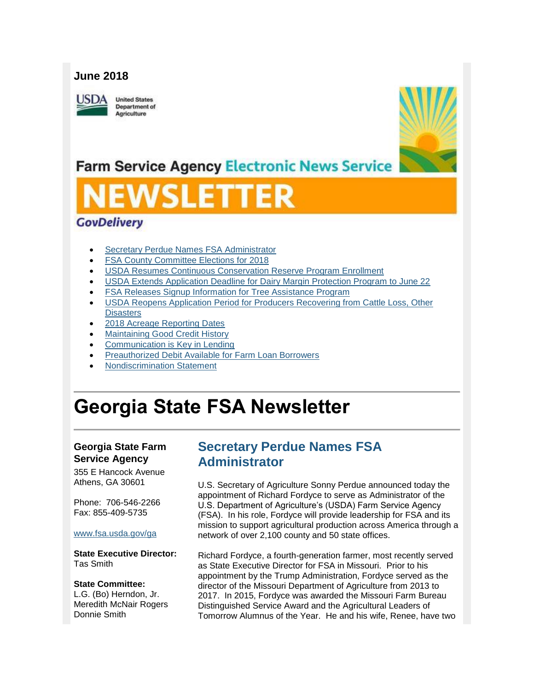### **June 2018**

**ISDA** 

**United States** Department of Agriculture



## **Farm Service Agency Electronic News Service**

### **GovDelivery**

- [Secretary Perdue Names FSA Administrator](#page-0-0)
- [FSA County Committee Elections for 2018](#page-1-0)
- [USDA Resumes Continuous Conservation Reserve Program Enrollment](#page-2-0)
- [USDA Extends Application Deadline for Dairy Margin Protection Program to June 22](#page-3-0)
- [FSA Releases Signup Information for Tree Assistance Program](#page-3-1)
- [USDA Reopens Application Period for Producers Recovering from Cattle Loss, Other](#page-4-0)  **[Disasters](#page-4-0)**
- [2018 Acreage Reporting Dates](#page-5-0)
- [Maintaining Good Credit History](#page-5-1)
- [Communication is Key in Lending](#page-6-0)
- [Preauthorized Debit Available for Farm Loan Borrowers](#page-6-1)
- [Nondiscrimination Statement](#page-7-0)

# **Georgia State FSA Newsletter**

#### **Georgia State Farm Service Agency**

355 E Hancock Avenue Athens, GA 30601

Phone: 706-546-2266 Fax: 855-409-5735

[www.fsa.usda.gov/ga](http://www.fsa.usda.gov/ga)

**State Executive Director:** Tas Smith

#### **State Committee:**

L.G. (Bo) Herndon, Jr. Meredith McNair Rogers Donnie Smith

### <span id="page-0-0"></span>**Secretary Perdue Names FSA Administrator**

U.S. Secretary of Agriculture Sonny Perdue announced today the appointment of Richard Fordyce to serve as Administrator of the U.S. Department of Agriculture's (USDA) Farm Service Agency (FSA). In his role, Fordyce will provide leadership for FSA and its mission to support agricultural production across America through a network of over 2,100 county and 50 state offices.

Richard Fordyce, a fourth-generation farmer, most recently served as State Executive Director for FSA in Missouri. Prior to his appointment by the Trump Administration, Fordyce served as the director of the Missouri Department of Agriculture from 2013 to 2017. In 2015, Fordyce was awarded the Missouri Farm Bureau Distinguished Service Award and the Agricultural Leaders of Tomorrow Alumnus of the Year. He and his wife, Renee, have two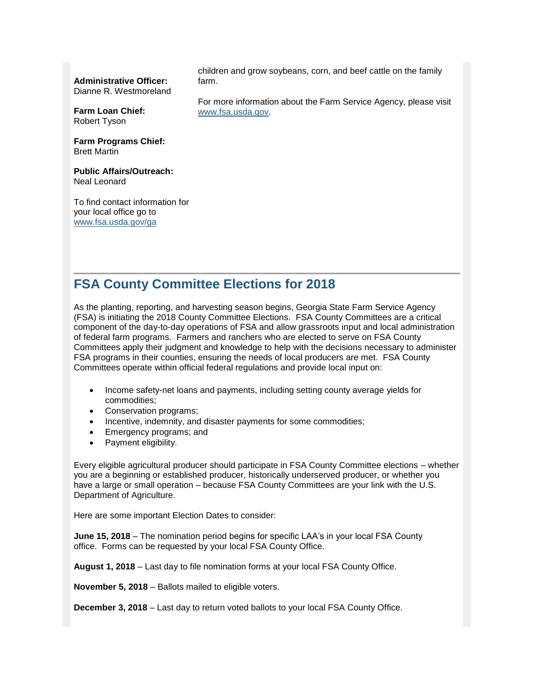**Administrative Officer:**

Dianne R. Westmoreland

**Farm Loan Chief:** Robert Tyson

**Farm Programs Chief:** Brett Martin

**Public Affairs/Outreach:** Neal Leonard

To find contact information for your local office go to [www.fsa.usda.gov/ga](http://www.fsa.usda.gov/ga)

children and grow soybeans, corn, and beef cattle on the family farm.

For more information about the Farm Service Agency, please visit [www.fsa.usda.gov.](http://www.fsa.usda.gov/)

### <span id="page-1-0"></span>**FSA County Committee Elections for 2018**

As the planting, reporting, and harvesting season begins, Georgia State Farm Service Agency (FSA) is initiating the 2018 County Committee Elections. FSA County Committees are a critical component of the day-to-day operations of FSA and allow grassroots input and local administration of federal farm programs. Farmers and ranchers who are elected to serve on FSA County Committees apply their judgment and knowledge to help with the decisions necessary to administer FSA programs in their counties, ensuring the needs of local producers are met. FSA County Committees operate within official federal regulations and provide local input on:

- Income safety-net loans and payments, including setting county average yields for commodities;
- Conservation programs;
- Incentive, indemnity, and disaster payments for some commodities;
- Emergency programs; and
- Payment eligibility.

Every eligible agricultural producer should participate in FSA County Committee elections – whether you are a beginning or established producer, historically underserved producer, or whether you have a large or small operation – because FSA County Committees are your link with the U.S. Department of Agriculture.

Here are some important Election Dates to consider:

**June 15, 2018** – The nomination period begins for specific LAA's in your local FSA County office. Forms can be requested by your local FSA County Office.

**August 1, 2018** – Last day to file nomination forms at your local FSA County Office.

**November 5, 2018** – Ballots mailed to eligible voters.

**December 3, 2018** – Last day to return voted ballots to your local FSA County Office.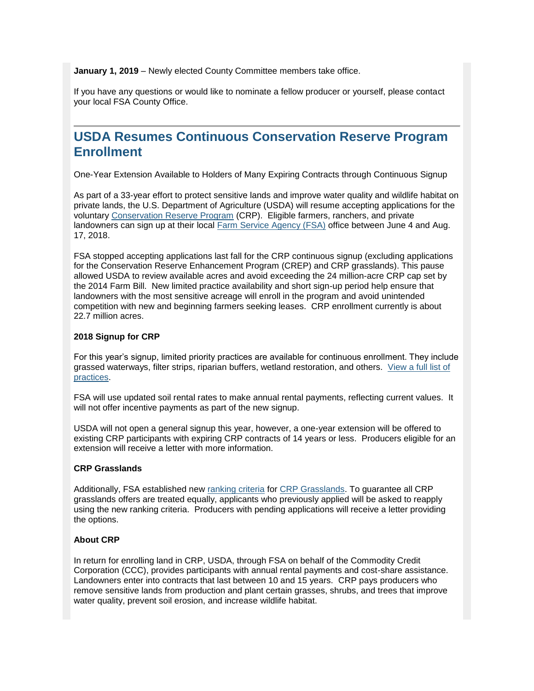**January 1, 2019** – Newly elected County Committee members take office.

If you have any questions or would like to nominate a fellow producer or yourself, please contact your local FSA County Office.

### <span id="page-2-0"></span>**USDA Resumes Continuous Conservation Reserve Program Enrollment**

One-Year Extension Available to Holders of Many Expiring Contracts through Continuous Signup

As part of a 33-year effort to protect sensitive lands and improve water quality and wildlife habitat on private lands, the U.S. Department of Agriculture (USDA) will resume accepting applications for the voluntary [Conservation Reserve Program](http://www.fsa.usda.gov/crp) (CRP). Eligible farmers, ranchers, and private landowners can sign up at their local [Farm Service Agency \(FSA\)](http://www.fsa.usda.gov/) office between June 4 and Aug. 17, 2018.

FSA stopped accepting applications last fall for the CRP continuous signup (excluding applications for the Conservation Reserve Enhancement Program (CREP) and CRP grasslands). This pause allowed USDA to review available acres and avoid exceeding the 24 million-acre CRP cap set by the 2014 Farm Bill. New limited practice availability and short sign-up period help ensure that landowners with the most sensitive acreage will enroll in the program and avoid unintended competition with new and beginning farmers seeking leases. CRP enrollment currently is about 22.7 million acres.

#### **2018 Signup for CRP**

For this year's signup, limited priority practices are available for continuous enrollment. They include grassed waterways, filter strips, riparian buffers, wetland restoration, and others. [View a full list of](https://www.fsa.usda.gov/programs-and-services/conservation-programs/conservation-reserve-program/crp-continuous-enrollment/index)  [practices.](https://www.fsa.usda.gov/programs-and-services/conservation-programs/conservation-reserve-program/crp-continuous-enrollment/index)

FSA will use updated soil rental rates to make annual rental payments, reflecting current values. It will not offer incentive payments as part of the new signup.

USDA will not open a general signup this year, however, a one-year extension will be offered to existing CRP participants with expiring CRP contracts of 14 years or less. Producers eligible for an extension will receive a letter with more information.

#### **CRP Grasslands**

Additionally, FSA established new [ranking criteria](https://www.fsa.usda.gov/programs-and-services/conservation-programs/conservation-reserve-program/crp-grasslands-signup-ranking-factors/index) for [CRP Grasslands.](https://www.fsa.usda.gov/programs-and-services/conservation-programs/conservation-reserve-program/crp-grasslands-signup-overview/index) To guarantee all CRP grasslands offers are treated equally, applicants who previously applied will be asked to reapply using the new ranking criteria. Producers with pending applications will receive a letter providing the options.

#### **About CRP**

In return for enrolling land in CRP, USDA, through FSA on behalf of the Commodity Credit Corporation (CCC), provides participants with annual rental payments and cost-share assistance. Landowners enter into contracts that last between 10 and 15 years. CRP pays producers who remove sensitive lands from production and plant certain grasses, shrubs, and trees that improve water quality, prevent soil erosion, and increase wildlife habitat.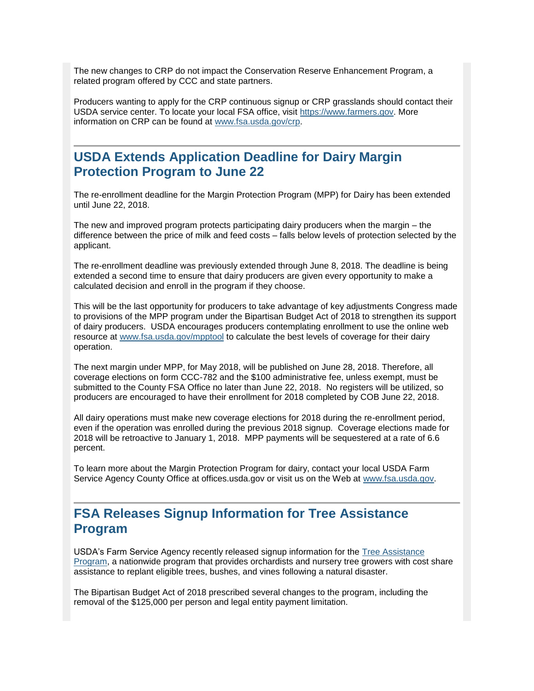The new changes to CRP do not impact the Conservation Reserve Enhancement Program, a related program offered by CCC and state partners.

Producers wanting to apply for the CRP continuous signup or CRP grasslands should contact their USDA service center. To locate your local FSA office, visit [https://www.farmers.gov.](https://www.farmers.gov/) More information on CRP can be found at [www.fsa.usda.gov/crp.](http://www.fsa.usda.gov/crp)

### <span id="page-3-0"></span>**USDA Extends Application Deadline for Dairy Margin Protection Program to June 22**

The re-enrollment deadline for the Margin Protection Program (MPP) for Dairy has been extended until June 22, 2018.

The new and improved program protects participating dairy producers when the margin – the difference between the price of milk and feed costs – falls below levels of protection selected by the applicant.

The re-enrollment deadline was previously extended through June 8, 2018. The deadline is being extended a second time to ensure that dairy producers are given every opportunity to make a calculated decision and enroll in the program if they choose.

This will be the last opportunity for producers to take advantage of key adjustments Congress made to provisions of the MPP program under the Bipartisan Budget Act of 2018 to strengthen its support of dairy producers. USDA encourages producers contemplating enrollment to use the online web resource at [www.fsa.usda.gov/mpptool](http://www.fsa.usda.gov/mpptool) to calculate the best levels of coverage for their dairy operation.

The next margin under MPP, for May 2018, will be published on June 28, 2018. Therefore, all coverage elections on form CCC-782 and the \$100 administrative fee, unless exempt, must be submitted to the County FSA Office no later than June 22, 2018. No registers will be utilized, so producers are encouraged to have their enrollment for 2018 completed by COB June 22, 2018.

All dairy operations must make new coverage elections for 2018 during the re-enrollment period, even if the operation was enrolled during the previous 2018 signup. Coverage elections made for 2018 will be retroactive to January 1, 2018. MPP payments will be sequestered at a rate of 6.6 percent.

To learn more about the Margin Protection Program for dairy, contact your local USDA Farm Service Agency County Office at offices.usda.gov or visit us on the Web at [www.fsa.usda.gov.](http://www.fsa.usda.gov/)

### <span id="page-3-1"></span>**FSA Releases Signup Information for Tree Assistance Program**

USDA's Farm Service Agency recently released signup information for the [Tree Assistance](https://www.fsa.usda.gov/programs-and-services/disaster-assistance-program/tree-assistance-program/index)  [Program,](https://www.fsa.usda.gov/programs-and-services/disaster-assistance-program/tree-assistance-program/index) a nationwide program that provides orchardists and nursery tree growers with cost share assistance to replant eligible trees, bushes, and vines following a natural disaster.

The Bipartisan Budget Act of 2018 prescribed several changes to the program, including the removal of the \$125,000 per person and legal entity payment limitation.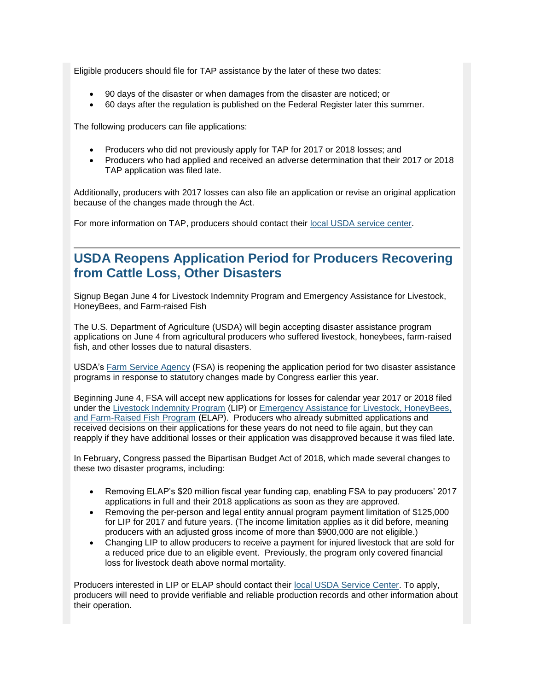Eligible producers should file for TAP assistance by the later of these two dates:

- 90 days of the disaster or when damages from the disaster are noticed; or
- 60 days after the regulation is published on the Federal Register later this summer.

The following producers can file applications:

- Producers who did not previously apply for TAP for 2017 or 2018 losses; and
- Producers who had applied and received an adverse determination that their 2017 or 2018 TAP application was filed late.

Additionally, producers with 2017 losses can also file an application or revise an original application because of the changes made through the Act.

For more information on TAP, producers should contact their [local USDA service center.](https://www.farmers.gov/service-locator?field_counties_served_target_id=13199)

### <span id="page-4-0"></span>**USDA Reopens Application Period for Producers Recovering from Cattle Loss, Other Disasters**

Signup Began June 4 for Livestock Indemnity Program and Emergency Assistance for Livestock, HoneyBees, and Farm-raised Fish

The U.S. Department of Agriculture (USDA) will begin accepting disaster assistance program applications on June 4 from agricultural producers who suffered livestock, honeybees, farm-raised fish, and other losses due to natural disasters.

USDA's [Farm Service Agency](http://www.fsa.usda.gov/) (FSA) is reopening the application period for two disaster assistance programs in response to statutory changes made by Congress earlier this year.

Beginning June 4, FSA will accept new applications for losses for calendar year 2017 or 2018 filed under the [Livestock Indemnity Program](https://www.fsa.usda.gov/programs-and-services/disaster-assistance-program/livestock-indemnity/index) (LIP) or Emergency Assistance for Livestock, HoneyBees, [and Farm-Raised Fish Program](https://www.fsa.usda.gov/programs-and-services/disaster-assistance-program/emergency-assist-for-livestock-honey-bees-fish/index) (ELAP). Producers who already submitted applications and received decisions on their applications for these years do not need to file again, but they can reapply if they have additional losses or their application was disapproved because it was filed late.

In February, Congress passed the Bipartisan Budget Act of 2018, which made several changes to these two disaster programs, including:

- Removing ELAP's \$20 million fiscal year funding cap, enabling FSA to pay producers' 2017 applications in full and their 2018 applications as soon as they are approved.
- Removing the per-person and legal entity annual program payment limitation of \$125,000 for LIP for 2017 and future years. (The income limitation applies as it did before, meaning producers with an adjusted gross income of more than \$900,000 are not eligible.)
- Changing LIP to allow producers to receive a payment for injured livestock that are sold for a reduced price due to an eligible event. Previously, the program only covered financial loss for livestock death above normal mortality.

Producers interested in LIP or ELAP should contact their [local USDA Service Center.](https://www.farmers.gov/service-locator?field_counties_served_target_id=All) To apply, producers will need to provide verifiable and reliable production records and other information about their operation.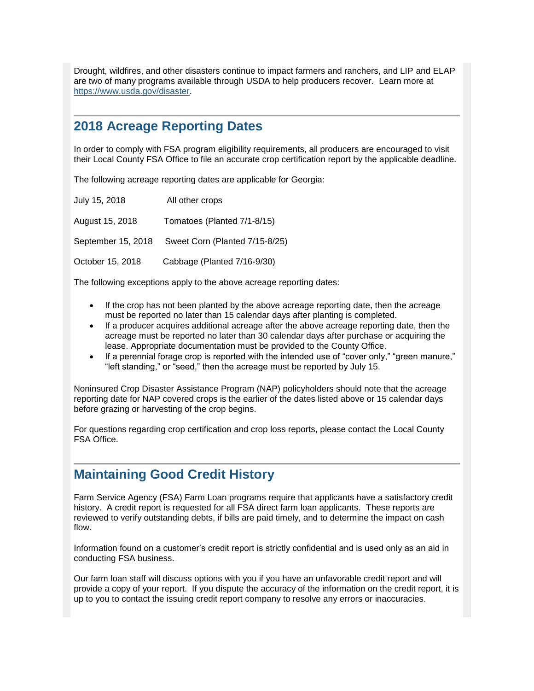Drought, wildfires, and other disasters continue to impact farmers and ranchers, and LIP and ELAP are two of many programs available through USDA to help producers recover. Learn more at [https://www.usda.gov/disaster.](https://www.usda.gov/disaster)

### <span id="page-5-0"></span>**2018 Acreage Reporting Dates**

In order to comply with FSA program eligibility requirements, all producers are encouraged to visit their Local County FSA Office to file an accurate crop certification report by the applicable deadline.

The following acreage reporting dates are applicable for Georgia:

| July 15, 2018      | All other crops                |
|--------------------|--------------------------------|
| August 15, 2018    | Tomatoes (Planted 7/1-8/15)    |
| September 15, 2018 | Sweet Corn (Planted 7/15-8/25) |
| October 15, 2018   | Cabbage (Planted 7/16-9/30)    |

The following exceptions apply to the above acreage reporting dates:

- If the crop has not been planted by the above acreage reporting date, then the acreage must be reported no later than 15 calendar days after planting is completed.
- If a producer acquires additional acreage after the above acreage reporting date, then the acreage must be reported no later than 30 calendar days after purchase or acquiring the lease. Appropriate documentation must be provided to the County Office.
- If a perennial forage crop is reported with the intended use of "cover only," "green manure," "left standing," or "seed," then the acreage must be reported by July 15.

Noninsured Crop Disaster Assistance Program (NAP) policyholders should note that the acreage reporting date for NAP covered crops is the earlier of the dates listed above or 15 calendar days before grazing or harvesting of the crop begins.

For questions regarding crop certification and crop loss reports, please contact the Local County FSA Office.

### <span id="page-5-1"></span>**Maintaining Good Credit History**

Farm Service Agency (FSA) Farm Loan programs require that applicants have a satisfactory credit history. A credit report is requested for all FSA direct farm loan applicants. These reports are reviewed to verify outstanding debts, if bills are paid timely, and to determine the impact on cash flow.

Information found on a customer's credit report is strictly confidential and is used only as an aid in conducting FSA business.

Our farm loan staff will discuss options with you if you have an unfavorable credit report and will provide a copy of your report. If you dispute the accuracy of the information on the credit report, it is up to you to contact the issuing credit report company to resolve any errors or inaccuracies.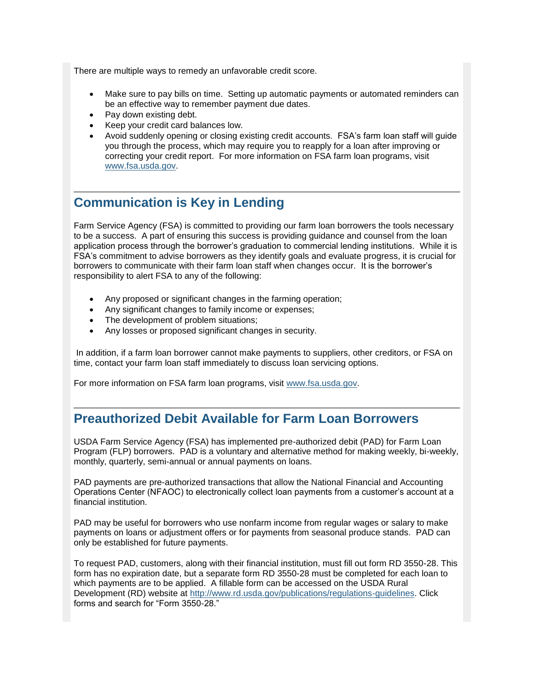There are multiple ways to remedy an unfavorable credit score.

- Make sure to pay bills on time. Setting up automatic payments or automated reminders can be an effective way to remember payment due dates.
- Pay down existing debt.
- Keep your credit card balances low.
- Avoid suddenly opening or closing existing credit accounts. FSA's farm loan staff will guide you through the process, which may require you to reapply for a loan after improving or correcting your credit report. For more information on FSA farm loan programs, visit [www.fsa.usda.gov.](http://www.fsa.usda.gov/)

### <span id="page-6-0"></span>**Communication is Key in Lending**

Farm Service Agency (FSA) is committed to providing our farm loan borrowers the tools necessary to be a success. A part of ensuring this success is providing guidance and counsel from the loan application process through the borrower's graduation to commercial lending institutions. While it is FSA's commitment to advise borrowers as they identify goals and evaluate progress, it is crucial for borrowers to communicate with their farm loan staff when changes occur. It is the borrower's responsibility to alert FSA to any of the following:

- Any proposed or significant changes in the farming operation;
- Any significant changes to family income or expenses;
- The development of problem situations;
- Any losses or proposed significant changes in security.

In addition, if a farm loan borrower cannot make payments to suppliers, other creditors, or FSA on time, contact your farm loan staff immediately to discuss loan servicing options.

For more information on FSA farm loan programs, visit [www.fsa.usda.gov.](http://www.fsa.usda.gov/)

### <span id="page-6-1"></span>**Preauthorized Debit Available for Farm Loan Borrowers**

USDA Farm Service Agency (FSA) has implemented pre-authorized debit (PAD) for Farm Loan Program (FLP) borrowers. PAD is a voluntary and alternative method for making weekly, bi-weekly, monthly, quarterly, semi-annual or annual payments on loans.

PAD payments are pre-authorized transactions that allow the National Financial and Accounting Operations Center (NFAOC) to electronically collect loan payments from a customer's account at a financial institution.

PAD may be useful for borrowers who use nonfarm income from regular wages or salary to make payments on loans or adjustment offers or for payments from seasonal produce stands. PAD can only be established for future payments.

To request PAD, customers, along with their financial institution, must fill out form RD 3550-28. This form has no expiration date, but a separate form RD 3550-28 must be completed for each loan to which payments are to be applied. A fillable form can be accessed on the USDA Rural Development (RD) website at [http://www.rd.usda.gov/publications/regulations-guidelines.](http://www.rd.usda.gov/publications/regulations-guidelines) Click forms and search for "Form 3550-28."